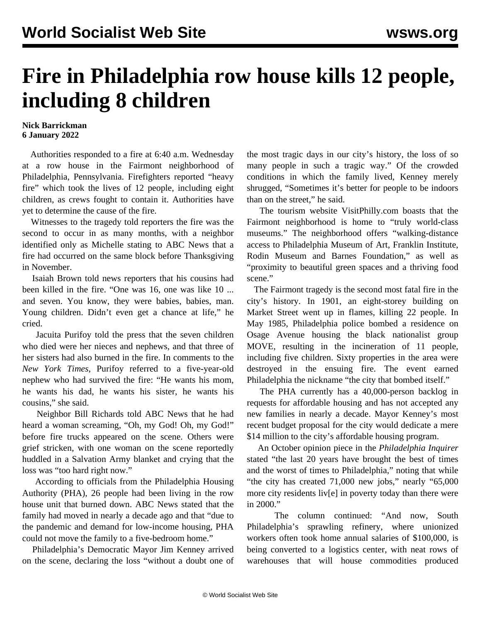## **Fire in Philadelphia row house kills 12 people, including 8 children**

## **Nick Barrickman 6 January 2022**

 Authorities responded to a fire at 6:40 a.m. Wednesday at a row house in the Fairmont neighborhood of Philadelphia, Pennsylvania. Firefighters reported "heavy fire" which took the lives of 12 people, including eight children, as crews fought to contain it. Authorities have yet to determine the cause of the fire.

 Witnesses to the tragedy told reporters the fire was the second to occur in as many months, with a neighbor identified only as Michelle stating to ABC News that a fire had occurred on the same block before Thanksgiving in November.

 Isaiah Brown told news reporters that his cousins had been killed in the fire. "One was 16, one was like 10 ... and seven. You know, they were babies, babies, man. Young children. Didn't even get a chance at life," he cried.

 Jacuita Purifoy told the press that the seven children who died were her nieces and nephews, and that three of her sisters had also burned in the fire. In comments to the *New York Times*, Purifoy referred to a five-year-old nephew who had survived the fire: "He wants his mom, he wants his dad, he wants his sister, he wants his cousins," she said.

 Neighbor Bill Richards told ABC News that he had heard a woman screaming, "Oh, my God! Oh, my God!" before fire trucks appeared on the scene. Others were grief stricken, with one woman on the scene reportedly huddled in a Salvation Army blanket and crying that the loss was "too hard right now."

 According to officials from the Philadelphia Housing Authority (PHA), 26 people had been living in the row house unit that burned down. ABC News stated that the family had moved in nearly a decade ago and that "due to the pandemic and demand for low-income housing, PHA could not move the family to a five-bedroom home."

 Philadelphia's Democratic Mayor Jim Kenney arrived on the scene, declaring the loss "without a doubt one of the most tragic days in our city's history, the loss of so many people in such a tragic way." Of the crowded conditions in which the family lived, Kenney merely shrugged, "Sometimes it's better for people to be indoors than on the street," he said.

 The tourism website VisitPhilly.com boasts that the Fairmont neighborhood is home to "truly world-class museums." The neighborhood offers "walking-distance access to Philadelphia Museum of Art, Franklin Institute, Rodin Museum and Barnes Foundation," as well as "proximity to beautiful green spaces and a thriving food scene."

 The Fairmont tragedy is the second most fatal fire in the city's history. In 1901, an eight-storey building on Market Street went up in flames, killing 22 people. In May 1985, Philadelphia police bombed a residence on Osage Avenue housing the black nationalist group MOVE, resulting in the incineration of 11 people, including five children. Sixty properties in the area were destroyed in the ensuing fire. The event earned Philadelphia the nickname "the city that bombed itself."

 The PHA currently has a 40,000-person backlog in requests for affordable housing and has not accepted any new families in nearly a decade. Mayor Kenney's most recent budget proposal for the city would dedicate a mere \$14 million to the city's affordable housing program.

 An October opinion piece in the *Philadelphia Inquirer* stated "the last 20 years have brought the best of times and the worst of times to Philadelphia," noting that while "the city has created 71,000 new jobs," nearly "65,000 more city residents liv[e] in poverty today than there were in 2000."

 The column continued: "And now, South Philadelphia's sprawling refinery, where unionized workers often took home annual salaries of \$100,000, is being converted to a logistics center, with neat rows of warehouses that will house commodities produced